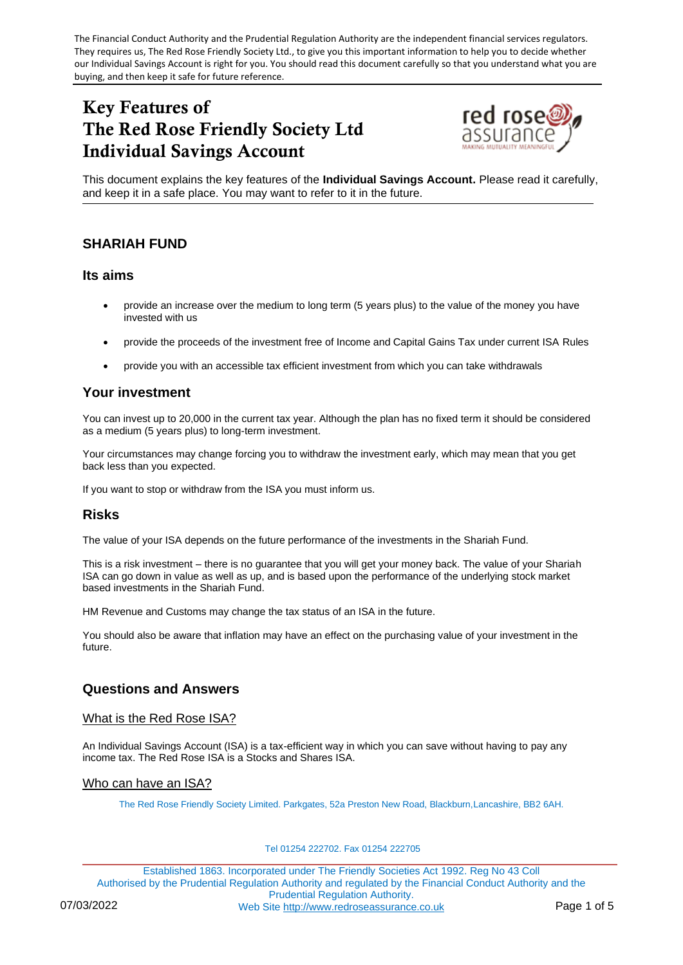The Financial Conduct Authority and the Prudential Regulation Authority are the independent financial services regulators. They requires us, The Red Rose Friendly Society Ltd., to give you this important information to help you to decide whether our Individual Savings Account is right for you. You should read this document carefully so that you understand what you are buying, and then keep it safe for future reference.

# Key Features of The Red Rose Friendly Society Ltd Individual Savings Account



This document explains the key features of the **Individual Savings Account.** Please read it carefully, and keep it in a safe place. You may want to refer to it in the future.

# **SHARIAH FUND**

## **Its aims**

- provide an increase over the medium to long term (5 years plus) to the value of the money you have invested with us
- provide the proceeds of the investment free of Income and Capital Gains Tax under current ISA Rules
- provide you with an accessible tax efficient investment from which you can take withdrawals

# **Your investment**

You can invest up to 20,000 in the current tax year. Although the plan has no fixed term it should be considered as a medium (5 years plus) to long-term investment.

Your circumstances may change forcing you to withdraw the investment early, which may mean that you get back less than you expected.

If you want to stop or withdraw from the ISA you must inform us.

# **Risks**

The value of your ISA depends on the future performance of the investments in the Shariah Fund.

This is a risk investment – there is no guarantee that you will get your money back. The value of your Shariah ISA can go down in value as well as up, and is based upon the performance of the underlying stock market based investments in the Shariah Fund.

HM Revenue and Customs may change the tax status of an ISA in the future.

You should also be aware that inflation may have an effect on the purchasing value of your investment in the future.

# **Questions and Answers**

## What is the Red Rose ISA?

An Individual Savings Account (ISA) is a tax-efficient way in which you can save without having to pay any income tax. The Red Rose ISA is a Stocks and Shares ISA.

### Who can have an ISA?

The Red Rose Friendly Society Limited. Parkgates, 52a Preston New Road, Blackburn,Lancashire, BB2 6AH.

#### Tel 01254 222702. Fax 01254 222705

Established 1863. Incorporated under The Friendly Societies Act 1992. Reg No 43 Coll Authorised by the Prudential Regulation Authority and regulated by the Financial Conduct Authority and the Prudential Regulation Authority. 07/03/2022 Web Site [http://www.redroseassurance.co.uk](http://www.redroseassurance.co.uk/) Page 1 of 5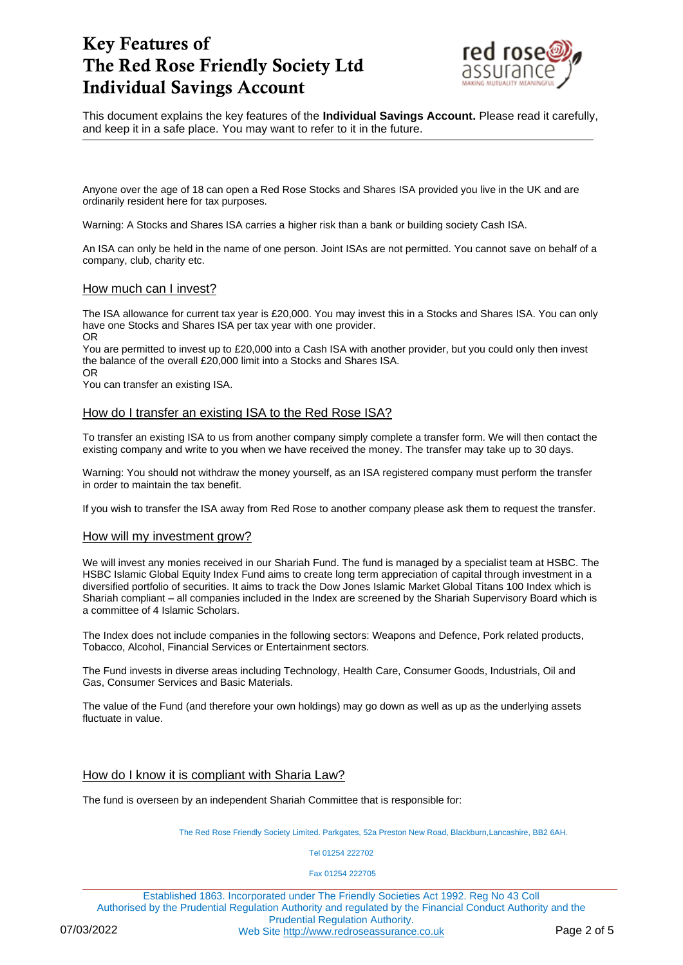

This document explains the key features of the **Individual Savings Account.** Please read it carefully, and keep it in a safe place. You may want to refer to it in the future.

Anyone over the age of 18 can open a Red Rose Stocks and Shares ISA provided you live in the UK and are ordinarily resident here for tax purposes.

Warning: A Stocks and Shares ISA carries a higher risk than a bank or building society Cash ISA.

An ISA can only be held in the name of one person. Joint ISAs are not permitted. You cannot save on behalf of a company, club, charity etc.

#### How much can I invest?

The ISA allowance for current tax year is £20,000. You may invest this in a Stocks and Shares ISA. You can only have one Stocks and Shares ISA per tax year with one provider. OR

You are permitted to invest up to £20,000 into a Cash ISA with another provider, but you could only then invest the balance of the overall £20,000 limit into a Stocks and Shares ISA.

OR

You can transfer an existing ISA.

#### How do I transfer an existing ISA to the Red Rose ISA?

To transfer an existing ISA to us from another company simply complete a transfer form. We will then contact the existing company and write to you when we have received the money. The transfer may take up to 30 days.

Warning: You should not withdraw the money yourself, as an ISA registered company must perform the transfer in order to maintain the tax benefit.

If you wish to transfer the ISA away from Red Rose to another company please ask them to request the transfer.

#### How will my investment grow?

We will invest any monies received in our Shariah Fund. The fund is managed by a specialist team at HSBC. The HSBC Islamic Global Equity Index Fund aims to create long term appreciation of capital through investment in a diversified portfolio of securities. It aims to track the Dow Jones Islamic Market Global Titans 100 Index which is Shariah compliant – all companies included in the Index are screened by the Shariah Supervisory Board which is a committee of 4 Islamic Scholars.

The Index does not include companies in the following sectors: Weapons and Defence, Pork related products, Tobacco, Alcohol, Financial Services or Entertainment sectors.

The Fund invests in diverse areas including Technology, Health Care, Consumer Goods, Industrials, Oil and Gas, Consumer Services and Basic Materials.

The value of the Fund (and therefore your own holdings) may go down as well as up as the underlying assets fluctuate in value.

#### How do I know it is compliant with Sharia Law?

The fund is overseen by an independent Shariah Committee that is responsible for:

The Red Rose Friendly Society Limited. Parkgates, 52a Preston New Road, Blackburn,Lancashire, BB2 6AH.

Tel 01254 222702

Fax 01254 222705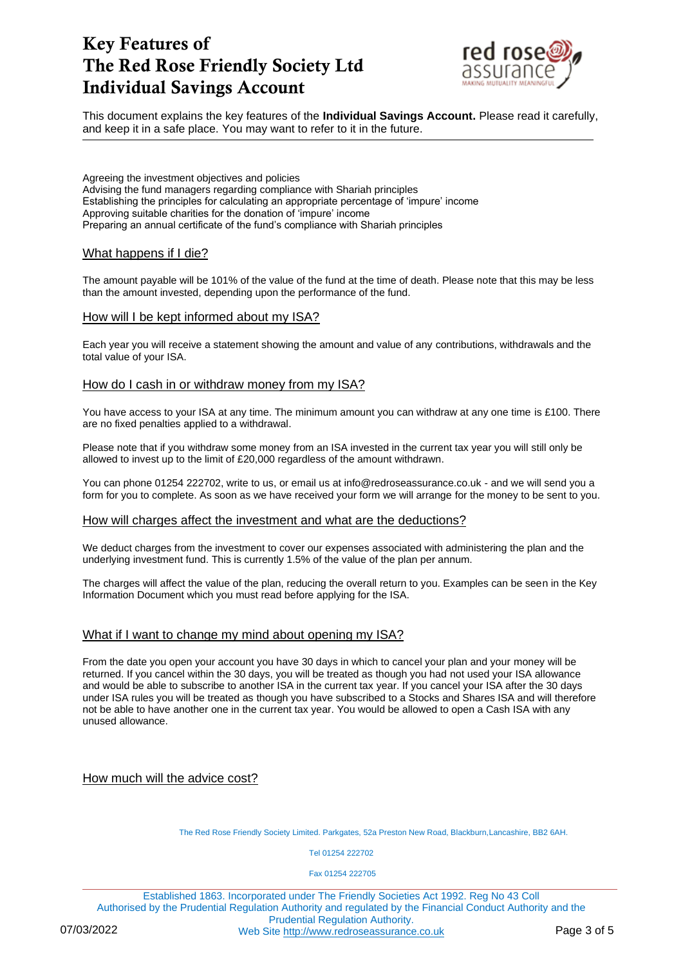

This document explains the key features of the **Individual Savings Account.** Please read it carefully, and keep it in a safe place. You may want to refer to it in the future.

Agreeing the investment objectives and policies Advising the fund managers regarding compliance with Shariah principles Establishing the principles for calculating an appropriate percentage of 'impure' income Approving suitable charities for the donation of 'impure' income Preparing an annual certificate of the fund's compliance with Shariah principles

### What happens if I die?

The amount payable will be 101% of the value of the fund at the time of death. Please note that this may be less than the amount invested, depending upon the performance of the fund.

#### How will I be kept informed about my ISA?

Each year you will receive a statement showing the amount and value of any contributions, withdrawals and the total value of your ISA.

#### How do I cash in or withdraw money from my ISA?

You have access to your ISA at any time. The minimum amount you can withdraw at any one time is £100. There are no fixed penalties applied to a withdrawal.

Please note that if you withdraw some money from an ISA invested in the current tax year you will still only be allowed to invest up to the limit of £20,000 regardless of the amount withdrawn.

You can phone 01254 222702, write to us, or email us at info@redroseassurance.co.uk - and we will send you a form for you to complete. As soon as we have received your form we will arrange for the money to be sent to you.

#### How will charges affect the investment and what are the deductions?

We deduct charges from the investment to cover our expenses associated with administering the plan and the underlying investment fund. This is currently 1.5% of the value of the plan per annum.

The charges will affect the value of the plan, reducing the overall return to you. Examples can be seen in the Key Information Document which you must read before applying for the ISA.

#### What if I want to change my mind about opening my ISA?

From the date you open your account you have 30 days in which to cancel your plan and your money will be returned. If you cancel within the 30 days, you will be treated as though you had not used your ISA allowance and would be able to subscribe to another ISA in the current tax year. If you cancel your ISA after the 30 days under ISA rules you will be treated as though you have subscribed to a Stocks and Shares ISA and will therefore not be able to have another one in the current tax year. You would be allowed to open a Cash ISA with any unused allowance.

How much will the advice cost?

The Red Rose Friendly Society Limited. Parkgates, 52a Preston New Road, Blackburn,Lancashire, BB2 6AH.

Tel 01254 222702

Fax 01254 222705

Established 1863. Incorporated under The Friendly Societies Act 1992. Reg No 43 Coll Authorised by the Prudential Regulation Authority and regulated by the Financial Conduct Authority and the Prudential Regulation Authority. 07/03/2022 Web Site [http://www.redroseassurance.co.uk](http://www.redroseassurance.co.uk/) Page 3 of 5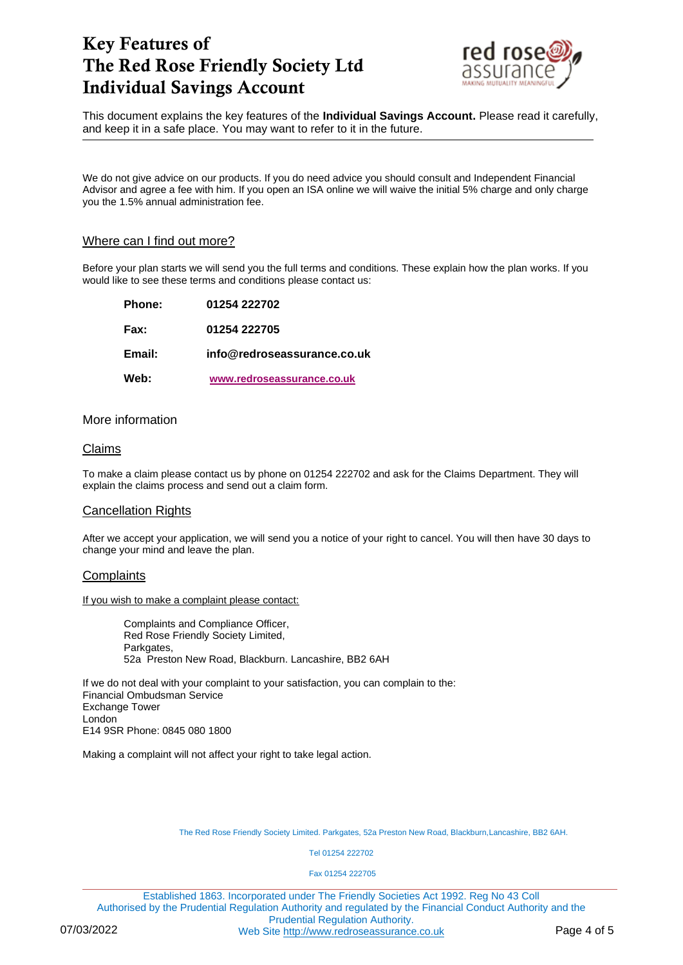

This document explains the key features of the **Individual Savings Account.** Please read it carefully, and keep it in a safe place. You may want to refer to it in the future.

We do not give advice on our products. If you do need advice you should consult and Independent Financial Advisor and agree a fee with him. If you open an ISA online we will waive the initial 5% charge and only charge you the 1.5% annual administration fee.

### Where can I find out more?

Before your plan starts we will send you the full terms and conditions. These explain how the plan works. If you would like to see these terms and conditions please contact us:

| Web:   | www.redroseassurance.co.uk  |
|--------|-----------------------------|
| Email: | info@redroseassurance.co.uk |
| Fax:   | 01254 222705                |
| Phone: | 01254 222702                |

#### More information

#### Claims

To make a claim please contact us by phone on 01254 222702 and ask for the Claims Department. They will explain the claims process and send out a claim form.

#### Cancellation Rights

After we accept your application, we will send you a notice of your right to cancel. You will then have 30 days to change your mind and leave the plan.

#### **Complaints**

If you wish to make a complaint please contact:

Complaints and Compliance Officer, Red Rose Friendly Society Limited, Parkgates, 52a Preston New Road, Blackburn. Lancashire, BB2 6AH

If we do not deal with your complaint to your satisfaction, you can complain to the: Financial Ombudsman Service Exchange Tower London E14 9SR Phone: 0845 080 1800

Making a complaint will not affect your right to take legal action.

The Red Rose Friendly Society Limited. Parkgates, 52a Preston New Road, Blackburn,Lancashire, BB2 6AH.

Tel 01254 222702

Fax 01254 222705